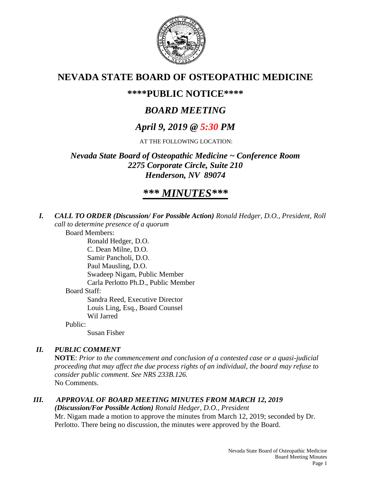

## **NEVADA STATE BOARD OF OSTEOPATHIC MEDICINE**

## **\*\*\*\*PUBLIC NOTICE\*\*\*\***

# *BOARD MEETING*

## *April 9, 2019 @ 5:30 PM*

AT THE FOLLOWING LOCATION:

*Nevada State Board of Osteopathic Medicine ~ Conference Room 2275 Corporate Circle, Suite 210 Henderson, NV 89074*

# *\*\*\* MINUTES\*\*\**

*I. CALL TO ORDER (Discussion/ For Possible Action) Ronald Hedger, D.O., President, Roll call to determine presence of a quorum*

Board Members: Ronald Hedger, D.O. C. Dean Milne, D.O. Samir Pancholi, D.O. Paul Mausling, D.O. Swadeep Nigam, Public Member Carla Perlotto Ph.D., Public Member Board Staff: Sandra Reed, Executive Director Louis Ling, Esq., Board Counsel Wil Jarred Public: Susan Fisher

#### *II. PUBLIC COMMENT*

**NOTE**: *Prior to the commencement and conclusion of a contested case or a quasi-judicial proceeding that may affect the due process rights of an individual, the board may refuse to consider public comment. See NRS 233B.126.* No Comments.

#### *III. APPROVAL OF BOARD MEETING MINUTES FROM MARCH 12, 2019 (Discussion/For Possible Action) Ronald Hedger, D.O., President* Mr. Nigam made a motion to approve the minutes from March 12, 2019; seconded by Dr.

Perlotto. There being no discussion, the minutes were approved by the Board.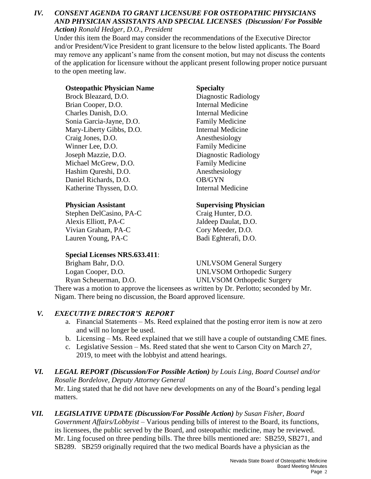#### *IV. CONSENT AGENDA TO GRANT LICENSURE FOR OSTEOPATHIC PHYSICIANS AND PHYSICIAN ASSISTANTS AND SPECIAL LICENSES (Discussion/ For Possible Action) Ronald Hedger, D.O., President*

Under this item the Board may consider the recommendations of the Executive Director and/or President/Vice President to grant licensure to the below listed applicants. The Board may remove any applicant's name from the consent motion, but may not discuss the contents of the application for licensure without the applicant present following proper notice pursuant to the open meeting law.

#### **Osteopathic Physician Name Specialty**

Brock Bleazard, D.O. Diagnostic Radiology Brian Cooper, D.O. **Internal Medicine** Charles Danish, D.O. Internal Medicine Sonia Garcia-Jayne, D.O. Family Medicine Mary-Liberty Gibbs, D.O. Internal Medicine Craig Jones, D.O. Anesthesiology Winner Lee, D.O. Family Medicine Joseph Mazzie, D.O. Diagnostic Radiology Michael McGrew, D.O. Family Medicine Hashim Qureshi, D.O. Anesthesiology Daniel Richards, D.O. OB/GYN Katherine Thyssen, D.O. Internal Medicine

Stephen DelCasino, PA-C Craig Hunter, D.O. Alexis Elliott, PA-C Jaldeep Daulat, D.O. Vivian Graham, PA-C Cory Meeder, D.O. Lauren Young, PA-C Badi Eghterafi, D.O.

#### **Special Licenses NRS.633.411**:

#### **Physician Assistant Supervising Physician**

Brigham Bahr, D.O. UNLVSOM General Surgery Logan Cooper, D.O. UNLVSOM Orthopedic Surgery Ryan Scheuerman, D.O. UNLVSOM Orthopedic Surgery

There was a motion to approve the licensees as written by Dr. Perlotto; seconded by Mr. Nigam. There being no discussion, the Board approved licensure.

### *V. EXECUTIVE DIRECTOR'S REPORT*

- a. Financial Statements Ms. Reed explained that the posting error item is now at zero and will no longer be used.
- b. Licensing Ms. Reed explained that we still have a couple of outstanding CME fines.
- c. Legislative Session Ms. Reed stated that she went to Carson City on March 27, 2019, to meet with the lobbyist and attend hearings.

#### *VI. LEGAL REPORT (Discussion/For Possible Action) by Louis Ling, Board Counsel and/or Rosalie Bordelove, Deputy Attorney General*  Mr. Ling stated that he did not have new developments on any of the Board's pending legal matters.

*VII. LEGISLATIVE UPDATE (Discussion/For Possible Action) by Susan Fisher, Board Government Affairs/Lobbyist* – Various pending bills of interest to the Board, its functions, its licensees, the public served by the Board, and osteopathic medicine, may be reviewed. Mr. Ling focused on three pending bills. The three bills mentioned are: SB259, SB271, and SB289. SB259 originally required that the two medical Boards have a physician as the